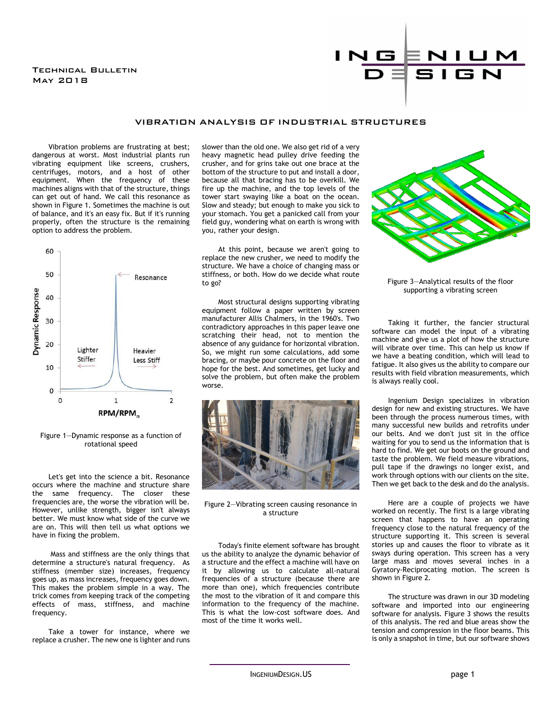## Technical Bulletin May 2018



## VIBRATION ANALYSIS OF INDUSTRIAL STRUCTURES

Vibration problems are frustrating at best; dangerous at worst. Most industrial plants run vibrating equipment like screens, crushers, centrifuges, motors, and a host of other equipment. When the frequency of these machines aligns with that of the structure, things can get out of hand. We call this resonance as shown in Figure 1. Sometimes the machine is out of balance, and it's an easy fix. But if it's running properly, often the structure is the remaining option to address the problem.



Figure 1—Dynamic response as a function of rotational speed

Let's get into the science a bit. Resonance occurs where the machine and structure share the same frequency. The closer these frequencies are, the worse the vibration will be. However, unlike strength, bigger isn't always better. We must know what side of the curve we are on. This will then tell us what options we have in fixing the problem.

Mass and stiffness are the only things that determine a structure's natural frequency. As stiffness (member size) increases, frequency goes up, as mass increases, frequency goes down. This makes the problem simple in a way. The trick comes from keeping track of the competing effects of mass, stiffness, and machine frequency.

Take a tower for instance, where we replace a crusher. The new one is lighter and runs slower than the old one. We also get rid of a very heavy magnetic head pulley drive feeding the crusher, and for grins take out one brace at the bottom of the structure to put and install a door, because all that bracing has to be overkill. We fire up the machine, and the top levels of the tower start swaying like a boat on the ocean. Slow and steady; but enough to make you sick to your stomach. You get a panicked call from your field guy, wondering what on earth is wrong with you, rather your design.

At this point, because we aren't going to replace the new crusher, we need to modify the structure. We have a choice of changing mass or stiffness, or both. How do we decide what route to go?

Most structural designs supporting vibrating equipment follow a paper written by screen manufacturer Allis Chalmers, in the 1960's. Two contradictory approaches in this paper leave one scratching their head, not to mention the absence of any guidance for horizontal vibration. So, we might run some calculations, add some bracing, or maybe pour concrete on the floor and hope for the best. And sometimes, get lucky and solve the problem, but often make the problem worse.



Figure 2—Vibrating screen causing resonance in a structure

Today's finite element software has brought us the ability to analyze the dynamic behavior of a structure and the effect a machine will have on it by allowing us to calculate all-natural frequencies of a structure (because there are more than one), which frequencies contribute the most to the vibration of it and compare this information to the frequency of the machine. This is what the low-cost software does. And most of the time it works well.



Figure 3—Analytical results of the floor supporting a vibrating screen

Taking it further, the fancier structural software can model the input of a vibrating machine and give us a plot of how the structure will vibrate over time. This can help us know if we have a beating condition, which will lead to fatigue. It also gives us the ability to compare our results with field vibration measurements, which is always really cool.

Ingenium Design specializes in vibration design for new and existing structures. We have been through the process numerous times, with many successful new builds and retrofits under our belts. And we don't just sit in the office waiting for you to send us the information that is hard to find. We get our boots on the ground and taste the problem. We field measure vibrations, pull tape if the drawings no longer exist, and work through options with our clients on the site. Then we get back to the desk and do the analysis.

Here are a couple of projects we have worked on recently. The first is a large vibrating screen that happens to have an operating frequency close to the natural frequency of the structure supporting it. This screen is several stories up and causes the floor to vibrate as it sways during operation. This screen has a very large mass and moves several inches in a Gyratory-Reciprocating motion. The screen is shown in Figure 2.

The structure was drawn in our 3D modeling software and imported into our engineering software for analysis. Figure 3 shows the results of this analysis. The red and blue areas show the tension and compression in the floor beams. This is only a snapshot in time, but our software shows